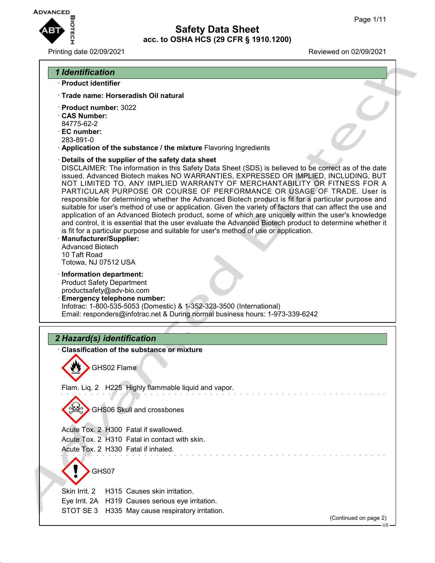

# **Safety Data Sheet acc. to OSHA HCS (29 CFR § 1910.1200)**

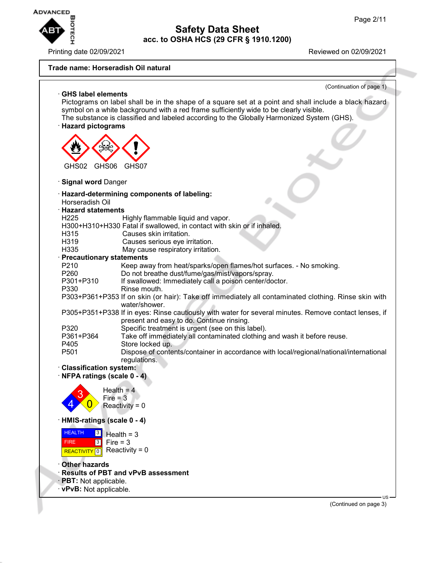

Printing date 02/09/2021 **Printing date 02/09/2021** 

# **Trade name: Horseradish Oil natural**

| (Continuation of page 1)                                                                                              |
|-----------------------------------------------------------------------------------------------------------------------|
| <b>GHS label elements</b>                                                                                             |
| Pictograms on label shall be in the shape of a square set at a point and shall include a black hazard                 |
| symbol on a white background with a red frame sufficiently wide to be clearly visible.                                |
| The substance is classified and labeled according to the Globally Harmonized System (GHS).                            |
| <b>Hazard pictograms</b>                                                                                              |
|                                                                                                                       |
|                                                                                                                       |
|                                                                                                                       |
|                                                                                                                       |
| GHS06<br>GHS02<br>GHS07                                                                                               |
| · Signal word Danger                                                                                                  |
|                                                                                                                       |
| · Hazard-determining components of labeling:                                                                          |
| Horseradish Oil                                                                                                       |
| <b>Hazard statements</b>                                                                                              |
| H <sub>225</sub><br>Highly flammable liquid and vapor.                                                                |
| H300+H310+H330 Fatal if swallowed, in contact with skin or if inhaled.                                                |
| Causes skin irritation.<br>H315                                                                                       |
| H319<br>Causes serious eye irritation.                                                                                |
| May cause respiratory irritation.<br>H335                                                                             |
| · Precautionary statements                                                                                            |
| P <sub>210</sub><br>Keep away from heat/sparks/open flames/hot surfaces. - No smoking.                                |
| Do not breathe dust/fume/gas/mist/vapors/spray.<br>P <sub>260</sub>                                                   |
| P301+P310<br>If swallowed: Immediately call a poison center/doctor.                                                   |
| P330<br>Rinse mouth.                                                                                                  |
| P303+P361+P353 If on skin (or hair): Take off immediately all contaminated clothing. Rinse skin with<br>water/shower. |
| P305+P351+P338 If in eyes: Rinse cautiously with water for several minutes. Remove contact lenses, if                 |
| present and easy to do. Continue rinsing.                                                                             |
| Specific treatment is urgent (see on this label).<br>P320                                                             |
| Take off immediately all contaminated clothing and wash it before reuse.<br>P361+P364                                 |
| Store locked up.<br>P405                                                                                              |
| P <sub>501</sub><br>Dispose of contents/container in accordance with local/regional/national/international            |
| regulations.                                                                                                          |
| · Classification system:                                                                                              |
| · NFPA ratings (scale 0 - 4)                                                                                          |
|                                                                                                                       |
| Health = $4$<br>s                                                                                                     |
| Fire = $3$                                                                                                            |
| Reactivity = $0$                                                                                                      |
| HMIS-ratings (scale 0 - 4)                                                                                            |
| <b>HEALTH</b><br> 3 <br>Health $=$ 3                                                                                  |
| Fire $= 3$<br><b>FIRE</b><br> 3                                                                                       |
| Reactivity = $0$<br><b>REACTIVITY</b><br>问                                                                            |
| <b>Other hazards</b>                                                                                                  |
|                                                                                                                       |

- · **Results of PBT and vPvB assessment**
- · **PBT:** Not applicable.
- · **vPvB:** Not applicable.

(Continued on page 3)

US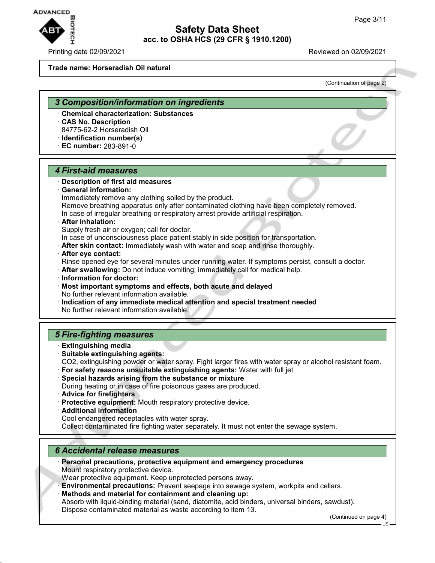

#### Printing date 02/09/2021 Reviewed on 02/09/2021

#### **Trade name: Horseradish Oil natural**

(Continuation of page 2)

#### *3 Composition/information on ingredients*

- · **Chemical characterization: Substances**
- · **CAS No. Description**

84775-62-2 Horseradish Oil

· **Identification number(s)** · **EC number:** 283-891-0

#### *4 First-aid measures*

#### · **Description of first aid measures**

· **General information:**

Immediately remove any clothing soiled by the product.

Remove breathing apparatus only after contaminated clothing have been completely removed. In case of irregular breathing or respiratory arrest provide artificial respiration.

#### · **After inhalation:**

Supply fresh air or oxygen; call for doctor.

In case of unconsciousness place patient stably in side position for transportation.

- · **After skin contact:** Immediately wash with water and soap and rinse thoroughly.
- · **After eye contact:**

Rinse opened eye for several minutes under running water. If symptoms persist, consult a doctor.

- · **After swallowing:** Do not induce vomiting; immediately call for medical help.
- · **Information for doctor:**
- · **Most important symptoms and effects, both acute and delayed** No further relevant information available.
- · **Indication of any immediate medical attention and special treatment needed** No further relevant information available.

### *5 Fire-fighting measures*

- · **Extinguishing media**
- · **Suitable extinguishing agents:**
- CO2, extinguishing powder or water spray. Fight larger fires with water spray or alcohol resistant foam.
- · **For safety reasons unsuitable extinguishing agents:** Water with full jet
- · **Special hazards arising from the substance or mixture** During heating or in case of fire poisonous gases are produced.
- · **Advice for firefighters**
- · **Protective equipment:** Mouth respiratory protective device.
- · **Additional information**

Cool endangered receptacles with water spray.

Collect contaminated fire fighting water separately. It must not enter the sewage system.

### *6 Accidental release measures*

- · **Personal precautions, protective equipment and emergency procedures** Mount respiratory protective device.
- Wear protective equipment. Keep unprotected persons away.
- · **Environmental precautions:** Prevent seepage into sewage system, workpits and cellars.

· **Methods and material for containment and cleaning up:** Absorb with liquid-binding material (sand, diatomite, acid binders, universal binders, sawdust). Dispose contaminated material as waste according to item 13.

(Continued on page 4)

US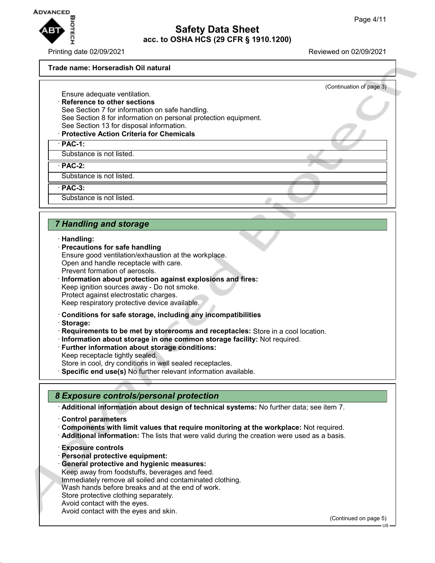

Printing date 02/09/2021 Reviewed on 02/09/2021

(Continuation of page 3)

#### **Trade name: Horseradish Oil natural**

Ensure adequate ventilation. · **Reference to other sections**

See Section 7 for information on safe handling. See Section 8 for information on personal protection equipment. See Section 13 for disposal information.

#### · **Protective Action Criteria for Chemicals**

· **PAC-1:**

Substance is not listed.

· **PAC-2:**

Substance is not listed.

· **PAC-3:**

Substance is not listed.

### *7 Handling and storage*

#### · **Handling:**

- · **Precautions for safe handling**
- Ensure good ventilation/exhaustion at the workplace. Open and handle receptacle with care. Prevent formation of aerosols.
- 
- · **Information about protection against explosions and fires:**
- Keep ignition sources away Do not smoke.
- Protect against electrostatic charges. Keep respiratory protective device available.
- · **Conditions for safe storage, including any incompatibilities**
- · **Storage:**
- · **Requirements to be met by storerooms and receptacles:** Store in a cool location.
- · **Information about storage in one common storage facility:** Not required.
- · **Further information about storage conditions:**
- Keep receptacle tightly sealed.
- Store in cool, dry conditions in well sealed receptacles.
- · **Specific end use(s)** No further relevant information available.

### *8 Exposure controls/personal protection*

· **Additional information about design of technical systems:** No further data; see item 7.

- · **Control parameters**
- · **Components with limit values that require monitoring at the workplace:** Not required.
- · **Additional information:** The lists that were valid during the creation were used as a basis.
- · **Exposure controls**
- · **Personal protective equipment:**
- · **General protective and hygienic measures:**
- Keep away from foodstuffs, beverages and feed. Immediately remove all soiled and contaminated clothing. Wash hands before breaks and at the end of work. Store protective clothing separately.
- Avoid contact with the eyes.
- Avoid contact with the eyes and skin.

(Continued on page 5)

US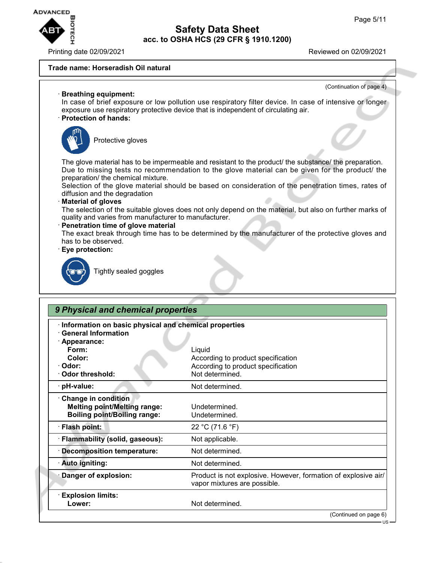

# **Safety Data Sheet acc. to OSHA HCS (29 CFR § 1910.1200)**

Printing date 02/09/2021 Reviewed on 02/09/2021

### **Trade name: Horseradish Oil natural**



| Information on basic physical and chemical properties<br><b>General Information</b> |                                                                                                |
|-------------------------------------------------------------------------------------|------------------------------------------------------------------------------------------------|
| · Appearance:                                                                       |                                                                                                |
| Form:                                                                               | Liquid                                                                                         |
| Color:                                                                              | According to product specification                                                             |
| · Odor:                                                                             | According to product specification                                                             |
| Odor threshold:                                                                     | Not determined.                                                                                |
| · pH-value:                                                                         | Not determined.                                                                                |
| Change in condition                                                                 |                                                                                                |
| <b>Melting point/Melting range:</b>                                                 | Undetermined.                                                                                  |
| <b>Boiling point/Boiling range:</b>                                                 | Undetermined.                                                                                  |
| · Flash point:                                                                      | 22 °C (71.6 °F)                                                                                |
| · Flammability (solid, gaseous):                                                    | Not applicable.                                                                                |
| <b>Decomposition temperature:</b>                                                   | Not determined.                                                                                |
| · Auto igniting:                                                                    | Not determined.                                                                                |
| Danger of explosion:                                                                | Product is not explosive. However, formation of explosive air/<br>vapor mixtures are possible. |
| <b>Explosion limits:</b>                                                            |                                                                                                |
| Lower:                                                                              | Not determined.                                                                                |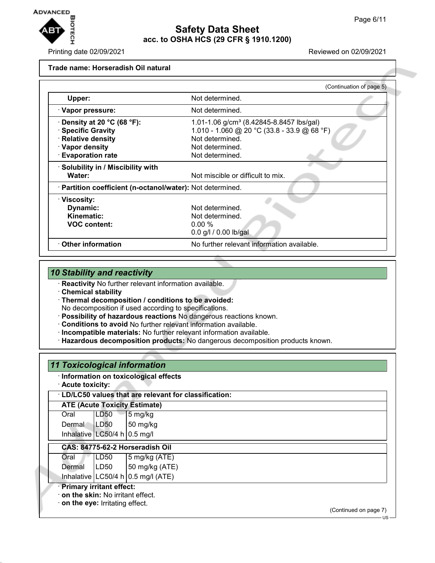

# **Safety Data Sheet acc. to OSHA HCS (29 CFR § 1910.1200)**

Printing date 02/09/2021 Reviewed on 02/09/2021

#### **Trade name: Horseradish Oil natural**

|                                                            | (Continuation of page 5)                             |
|------------------------------------------------------------|------------------------------------------------------|
| Upper:                                                     | Not determined.                                      |
| · Vapor pressure:                                          | Not determined.                                      |
| $\cdot$ Density at 20 °C (68 °F):                          | 1.01-1.06 g/cm <sup>3</sup> (8.42845-8.8457 lbs/gal) |
| · Specific Gravity                                         | 1.010 - 1.060 @ 20 °C (33.8 - 33.9 @ 68 °F)          |
| · Relative density                                         | Not determined.                                      |
| · Vapor density                                            | Not determined.                                      |
| · Evaporation rate                                         | Not determined.                                      |
| · Solubility in / Miscibility with                         |                                                      |
| Water:                                                     | Not miscible or difficult to mix.                    |
| · Partition coefficient (n-octanol/water): Not determined. |                                                      |
| · Viscosity:                                               |                                                      |
| Dynamic:                                                   | Not determined.                                      |
| Kinematic:                                                 | Not determined.                                      |
| <b>VOC content:</b>                                        | 0.00%                                                |
|                                                            | 0.0 g/l / 0.00 lb/gal                                |
| $\cdot$ Other information                                  | No further relevant information available.           |

### *10 Stability and reactivity*

· **Reactivity** No further relevant information available.

· **Chemical stability**

- · **Thermal decomposition / conditions to be avoided:** No decomposition if used according to specifications.
- · **Possibility of hazardous reactions** No dangerous reactions known.
- · **Conditions to avoid** No further relevant information available.
- · **Incompatible materials:** No further relevant information available.
- · **Hazardous decomposition products:** No dangerous decomposition products known.

| <b>11 Toxicological information</b>    |                                |                                                      |                       |
|----------------------------------------|--------------------------------|------------------------------------------------------|-----------------------|
| · Acute toxicity:                      |                                | · Information on toxicological effects               |                       |
|                                        |                                | LD/LC50 values that are relevant for classification: |                       |
|                                        |                                | <b>ATE (Acute Toxicity Estimate)</b>                 |                       |
| Oral                                   | LD50                           | 5 mg/kg                                              |                       |
| Dermal                                 | LD50                           | $50$ mg/kg                                           |                       |
|                                        | Inhalative LC50/4 h $0.5$ mg/l |                                                      |                       |
|                                        |                                | CAS: 84775-62-2 Horseradish Oil                      |                       |
| Oral                                   | LD50                           | $5 \text{ mg/kg}$ (ATE)                              |                       |
| Dermal                                 | ILD50                          | 50 mg/kg (ATE)                                       |                       |
|                                        |                                | Inhalative $LC50/4 h 0.5 mg/l (ATE)$                 |                       |
| <b>Primary irritant effect:</b>        |                                |                                                      |                       |
| on the skin: No irritant effect.       |                                |                                                      |                       |
| $\cdot$ on the eye: Irritating effect. |                                |                                                      | (Continued on page 7) |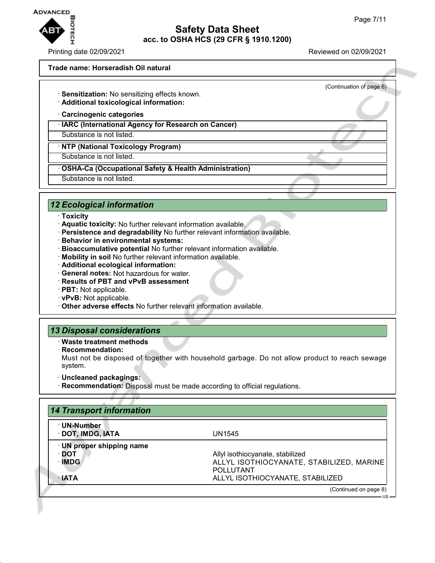

Printing date 02/09/2021 Reviewed on 02/09/2021

(Continuation of page 6)

#### **Trade name: Horseradish Oil natural**

- · **Sensitization:** No sensitizing effects known.
- · **Additional toxicological information:**
- · **Carcinogenic categories**
- · **IARC (International Agency for Research on Cancer)**

Substance is not listed.

· **NTP (National Toxicology Program)**

Substance is not listed.

· **OSHA-Ca (Occupational Safety & Health Administration)**

Substance is not listed.

### *12 Ecological information*

- · **Toxicity**
- · **Aquatic toxicity:** No further relevant information available.
- · **Persistence and degradability** No further relevant information available.
- · **Behavior in environmental systems:**
- · **Bioaccumulative potential** No further relevant information available.
- · **Mobility in soil** No further relevant information available.
- · **Additional ecological information:**
- · **General notes:** Not hazardous for water.
- · **Results of PBT and vPvB assessment**
- · **PBT:** Not applicable.
- · **vPvB:** Not applicable.
- · **Other adverse effects** No further relevant information available.

### *13 Disposal considerations*

- · **Waste treatment methods**
- · **Recommendation:**
- Must not be disposed of together with household garbage. Do not allow product to reach sewage system.
- · **Uncleaned packagings:**
- · **Recommendation:** Disposal must be made according to official regulations.

| · UN-Number               |                                          |
|---------------------------|------------------------------------------|
| · DOT, IMDG, IATA         | UN1545                                   |
| · UN proper shipping name |                                          |
| ∙ DOT                     | Allyl isothiocyanate, stabilized         |
| · IMDG                    | ALLYL ISOTHIOCYANATE, STABILIZED, MARINE |
|                           | <b>POLLUTANT</b>                         |
| $\cdot$ IATA              | ALLYL ISOTHIOCYANATE, STABILIZED         |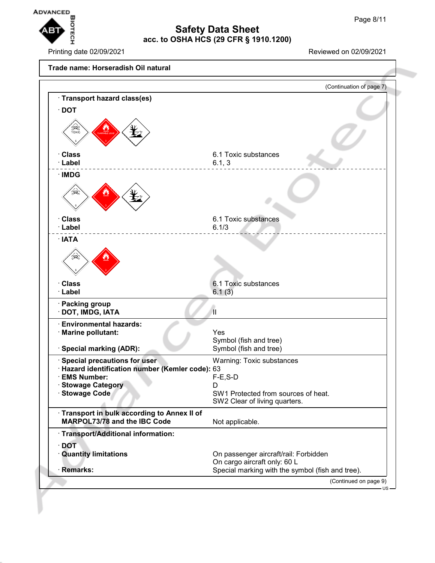

Printing date 02/09/2021 Reviewed on 02/09/2021

**Trade name: Horseradish Oil natural** (Continuation of page 7) · **Transport hazard class(es)** · **DOT** · **Class** 6.1 Toxic substances · **Label** 6.1, 3 · **IMDG** · **Class** 6.1 Toxic substances · **Label** 6.1/3 · **IATA** · **Class** 6.1 Toxic substances · **Label** 6.1 (3) · **Packing group** · **DOT, IMDG, IATA** II · **Environmental hazards:** · **Marine pollutant:** Yes Symbol (fish and tree) · **Special marking (ADR):** Symbol (fish and tree) · **Special precautions for user** Warning: Toxic substances · **Hazard identification number (Kemler code):** 63 · **EMS Number:** F-E,S-D · **Stowage Category** D · **Stowage Code** SW1 Protected from sources of heat. SW2 Clear of living quarters. · **Transport in bulk according to Annex II of MARPOL73/78 and the IBC Code** Not applicable. · **Transport/Additional information:** · **DOT** · **Quantity limitations** On passenger aircraft/rail: Forbidden On cargo aircraft only: 60 L · **Remarks: Remarks:** Special marking with the symbol (fish and tree). (Continued on page 9) US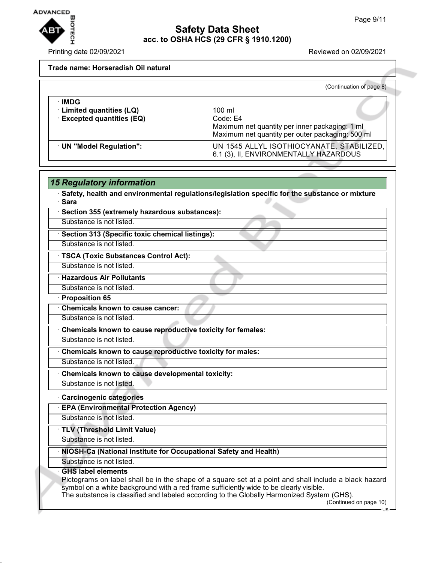٦



## **Safety Data Sheet acc. to OSHA HCS (29 CFR § 1910.1200)**

Printing date 02/09/2021 **Printing date 02/09/2021** 

### **Trade name: Horseradish Oil natural**

|                            | (Continuation of page 8)                                                                           |
|----------------------------|----------------------------------------------------------------------------------------------------|
| ∴IMDG                      |                                                                                                    |
| · Limited quantities (LQ)  | 100 ml                                                                                             |
| · Excepted quantities (EQ) | Code: E4                                                                                           |
|                            | Maximum net quantity per inner packaging: 1 ml<br>Maximum net quantity per outer packaging: 500 ml |
| UN "Model Regulation":     | UN 1545 ALLYL ISOTHIOCYANATE, STABILIZED,<br>6.1 (3), II, ENVIRONMENTALLY HAZARDOUS                |

|        | <b>15 Regulatory information</b>                                                                                                                                                                                                                                                                                                                            |
|--------|-------------------------------------------------------------------------------------------------------------------------------------------------------------------------------------------------------------------------------------------------------------------------------------------------------------------------------------------------------------|
| · Sara | · Safety, health and environmental regulations/legislation specific for the substance or mixture                                                                                                                                                                                                                                                            |
|        | · Section 355 (extremely hazardous substances):                                                                                                                                                                                                                                                                                                             |
|        | Substance is not listed.                                                                                                                                                                                                                                                                                                                                    |
|        | · Section 313 (Specific toxic chemical listings):                                                                                                                                                                                                                                                                                                           |
|        | Substance is not listed.                                                                                                                                                                                                                                                                                                                                    |
|        | · TSCA (Toxic Substances Control Act):                                                                                                                                                                                                                                                                                                                      |
|        | Substance is not listed.                                                                                                                                                                                                                                                                                                                                    |
|        | · Hazardous Air Pollutants                                                                                                                                                                                                                                                                                                                                  |
|        | Substance is not listed.                                                                                                                                                                                                                                                                                                                                    |
|        | · Proposition 65                                                                                                                                                                                                                                                                                                                                            |
|        | Chemicals known to cause cancer:                                                                                                                                                                                                                                                                                                                            |
|        | Substance is not listed.                                                                                                                                                                                                                                                                                                                                    |
|        | Chemicals known to cause reproductive toxicity for females:                                                                                                                                                                                                                                                                                                 |
|        | Substance is not listed.                                                                                                                                                                                                                                                                                                                                    |
|        | Chemicals known to cause reproductive toxicity for males:                                                                                                                                                                                                                                                                                                   |
|        | Substance is not listed.                                                                                                                                                                                                                                                                                                                                    |
|        | Chemicals known to cause developmental toxicity:                                                                                                                                                                                                                                                                                                            |
|        | Substance is not listed.                                                                                                                                                                                                                                                                                                                                    |
|        | <b>Carcinogenic categories</b>                                                                                                                                                                                                                                                                                                                              |
|        | <b>EPA (Environmental Protection Agency)</b>                                                                                                                                                                                                                                                                                                                |
|        | Substance is not listed.                                                                                                                                                                                                                                                                                                                                    |
|        | TLV (Threshold Limit Value)                                                                                                                                                                                                                                                                                                                                 |
|        | Substance is not listed.                                                                                                                                                                                                                                                                                                                                    |
|        | · NIOSH-Ca (National Institute for Occupational Safety and Health)                                                                                                                                                                                                                                                                                          |
|        | Substance is not listed.                                                                                                                                                                                                                                                                                                                                    |
|        | <b>GHS label elements</b><br>Pictograms on label shall be in the shape of a square set at a point and shall include a black hazard<br>symbol on a white background with a red frame sufficiently wide to be clearly visible.<br>The substance is classified and labeled according to the Globally Harmonized System (GHS).<br>(Continued on page 10)<br>·US |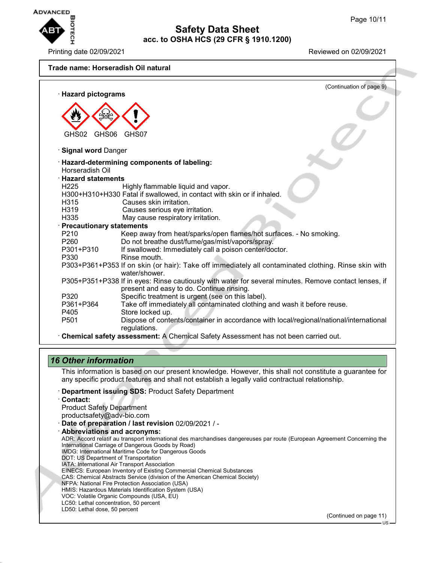

Printing date 02/09/2021 Reviewed on 02/09/2021

**Trade name: Horseradish Oil natural**

| · Hazard pictograms        | (Continuation of page 9)                                                                              |
|----------------------------|-------------------------------------------------------------------------------------------------------|
|                            |                                                                                                       |
|                            |                                                                                                       |
|                            |                                                                                                       |
|                            |                                                                                                       |
| GHS02<br>GHS06             | GHS07                                                                                                 |
|                            |                                                                                                       |
| <b>Signal word Danger</b>  |                                                                                                       |
|                            | Hazard-determining components of labeling:                                                            |
| Horseradish Oil            |                                                                                                       |
| <b>Hazard statements</b>   |                                                                                                       |
| H <sub>225</sub>           | Highly flammable liquid and vapor.                                                                    |
|                            | H300+H310+H330 Fatal if swallowed, in contact with skin or if inhaled.                                |
| H315                       | Causes skin irritation.                                                                               |
| H319                       | Causes serious eye irritation.                                                                        |
| H335                       | May cause respiratory irritation.                                                                     |
| · Precautionary statements |                                                                                                       |
| P210                       | Keep away from heat/sparks/open flames/hot surfaces. - No smoking.                                    |
| P260                       | Do not breathe dust/fume/gas/mist/vapors/spray.                                                       |
| P301+P310                  | If swallowed: Immediately call a poison center/doctor.                                                |
| P330                       | Rinse mouth.                                                                                          |
|                            | P303+P361+P353 If on skin (or hair): Take off immediately all contaminated clothing. Rinse skin with  |
|                            | water/shower.                                                                                         |
|                            | P305+P351+P338 If in eyes: Rinse cautiously with water for several minutes. Remove contact lenses, if |
|                            | present and easy to do. Continue rinsing.                                                             |
| P320                       | Specific treatment is urgent (see on this label).                                                     |
| P361+P364                  | Take off immediately all contaminated clothing and wash it before reuse.                              |
| P405                       | Store locked up.                                                                                      |
| P <sub>501</sub>           | Dispose of contents/container in accordance with local/regional/national/international                |
|                            | regulations.                                                                                          |
|                            | Chemical safety assessment: A Chemical Safety Assessment has not been carried out.                    |

### *16 Other information*

This information is based on our present knowledge. However, this shall not constitute a guarantee for any specific product features and shall not establish a legally valid contractual relationship.

- · **Department issuing SDS:** Product Safety Department
- · **Contact:**

Product Safety Department productsafety@adv-bio.com

- · **Date of preparation / last revision** 02/09/2021 / -
- · **Abbreviations and acronyms:** ADR: Accord relatif au transport international des marchandises dangereuses par route (European Agreement Concerning the International Carriage of Dangerous Goods by Road) IMDG: International Maritime Code for Dangerous Goods DOT: US Department of Transportation IATA: International Air Transport Association EINECS: European Inventory of Existing Commercial Chemical Substances CAS: Chemical Abstracts Service (division of the American Chemical Society) NFPA: National Fire Protection Association (USA) HMIS: Hazardous Materials Identification System (USA) VOC: Volatile Organic Compounds (USA, EU) LC50: Lethal concentration, 50 percent LD50: Lethal dose, 50 percent

(Continued on page 11)